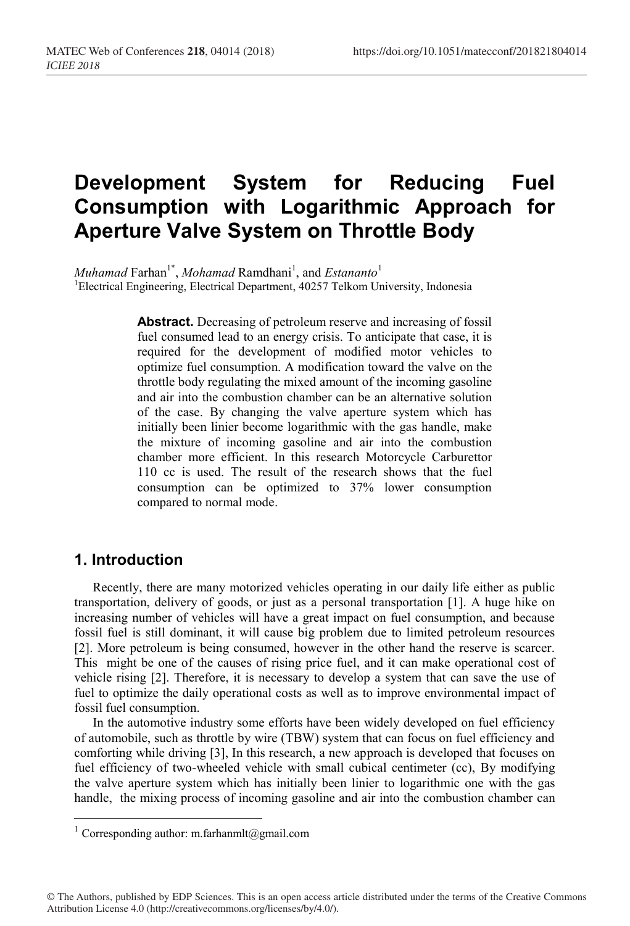## **Development System for Reducing Fuel Consumption with Logarithmic Approach for Aperture Valve System on Throttle Body**

*Muhamad* Farhan<sup>1\*</sup>, *Mohamad* Ramdhani<sup>1</sup>, and *Estananto*<sup>1</sup> <sup>1</sup>Electrical Engineering, Electrical Department, 40257 Telkom University, Indonesia

> **Abstract.** Decreasing of petroleum reserve and increasing of fossil fuel consumed lead to an energy crisis. To anticipate that case, it is required for the development of modified motor vehicles to optimize fuel consumption. A modification toward the valve on the throttle body regulating the mixed amount of the incoming gasoline and air into the combustion chamber can be an alternative solution of the case. By changing the valve aperture system which has initially been linier become logarithmic with the gas handle, make the mixture of incoming gasoline and air into the combustion chamber more efficient. In this research Motorcycle Carburettor 110 cc is used. The result of the research shows that the fuel consumption can be optimized to 37% lower consumption compared to normal mode.

#### **1. Introduction**

Recently, there are many motorized vehicles operating in our daily life either as public transportation, delivery of goods, or just as a personal transportation [1]. A huge hike on increasing number of vehicles will have a great impact on fuel consumption, and because fossil fuel is still dominant, it will cause big problem due to limited petroleum resources [2]. More petroleum is being consumed, however in the other hand the reserve is scarcer. This might be one of the causes of rising price fuel, and it can make operational cost of vehicle rising [2]. Therefore, it is necessary to develop a system that can save the use of fuel to optimize the daily operational costs as well as to improve environmental impact of fossil fuel consumption.

In the automotive industry some efforts have been widely developed on fuel efficiency of automobile, such as throttle by wire (TBW) system that can focus on fuel efficiency and comforting while driving [3], In this research, a new approach is developed that focuses on fuel efficiency of two-wheeled vehicle with small cubical centimeter (cc), By modifying the valve aperture system which has initially been linier to logarithmic one with the gas handle, the mixing process of incoming gasoline and air into the combustion chamber can

© The Authors, published by EDP Sciences. This is an open access article distributed under the terms of the Creative Commons Attribution License 4.0 (http://creativecommons.org/licenses/by/4.0/).

<sup>&</sup>lt;sup>1</sup> Corresponding author: m.farhanmlt@gmail.com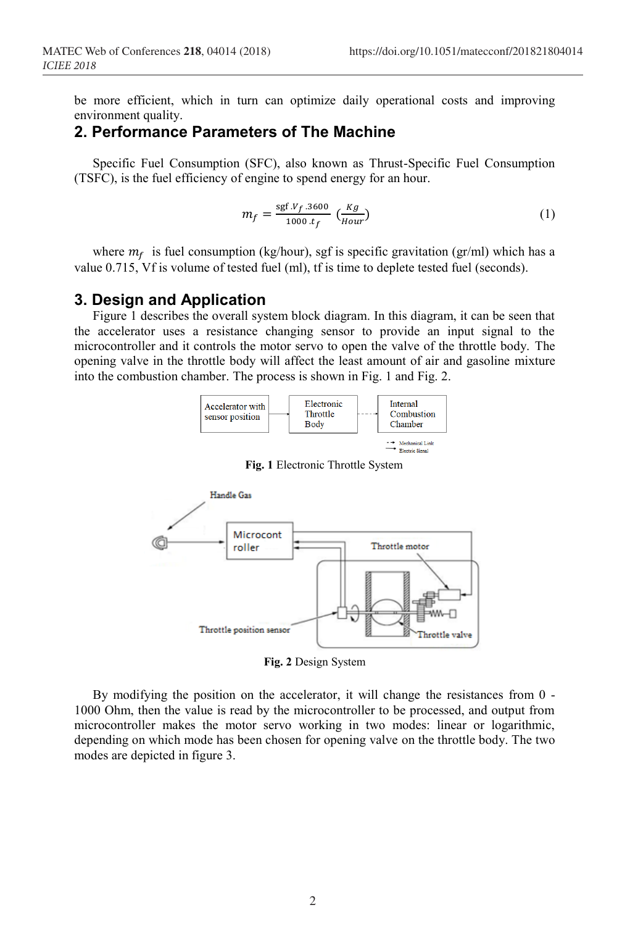be more efficient, which in turn can optimize daily operational costs and improving environment quality.

#### **2. Performance Parameters of The Machine**

Specific Fuel Consumption (SFC), also known as Thrust-Specific Fuel Consumption (TSFC), is the fuel efficiency of engine to spend energy for an hour.

$$
m_f = \frac{\text{sgf } V_f \cdot 3600}{1000 \cdot t_f} \left(\frac{kg}{Hour}\right) \tag{1}
$$

where  $m_f$  is fuel consumption (kg/hour), sgf is specific gravitation (gr/ml) which has a value 0.715, Vf is volume of tested fuel (ml), tf is time to deplete tested fuel (seconds).

#### **3. Design and Application**

Figure 1 describes the overall system block diagram. In this diagram, it can be seen that the accelerator uses a resistance changing sensor to provide an input signal to the microcontroller and it controls the motor servo to open the valve of the throttle body. The opening valve in the throttle body will affect the least amount of air and gasoline mixture into the combustion chamber. The process is shown in Fig. 1 and Fig. 2.



**Fig. 1** Electronic Throttle System



**Fig. 2** Design System

By modifying the position on the accelerator, it will change the resistances from 0 - 1000 Ohm, then the value is read by the microcontroller to be processed, and output from microcontroller makes the motor servo working in two modes: linear or logarithmic, depending on which mode has been chosen for opening valve on the throttle body. The two modes are depicted in figure 3.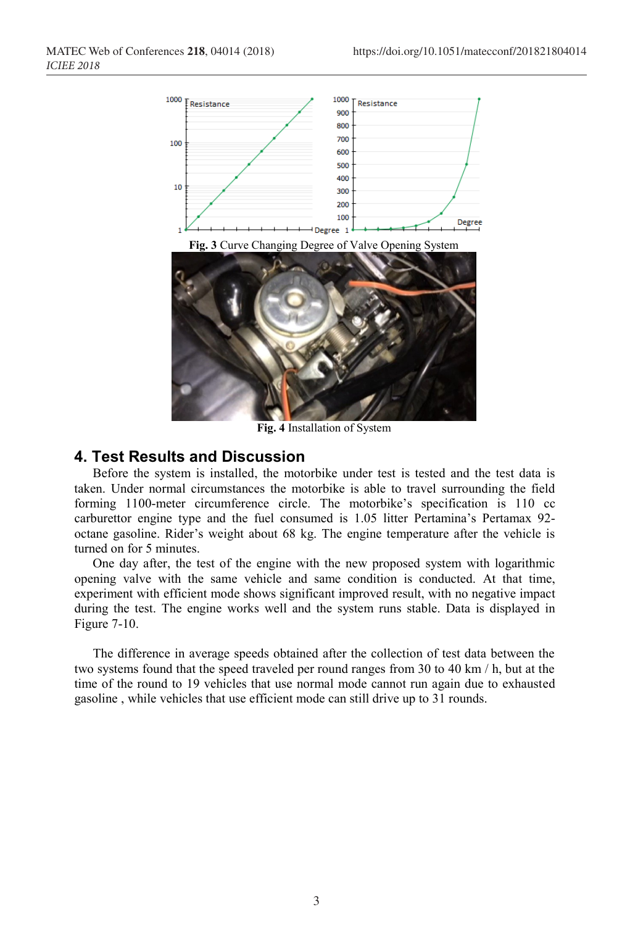

**Fig. 4** Installation of System

#### **4. Test Results and Discussion**

Before the system is installed, the motorbike under test is tested and the test data is taken. Under normal circumstances the motorbike is able to travel surrounding the field forming 1100-meter circumference circle. The motorbike's specification is 110 cc carburettor engine type and the fuel consumed is 1.05 litter Pertamina's Pertamax 92 octane gasoline. Rider's weight about 68 kg. The engine temperature after the vehicle is turned on for 5 minutes.

One day after, the test of the engine with the new proposed system with logarithmic opening valve with the same vehicle and same condition is conducted. At that time, experiment with efficient mode shows significant improved result, with no negative impact during the test. The engine works well and the system runs stable. Data is displayed in Figure 7-10.

The difference in average speeds obtained after the collection of test data between the two systems found that the speed traveled per round ranges from 30 to 40 km / h, but at the time of the round to 19 vehicles that use normal mode cannot run again due to exhausted gasoline , while vehicles that use efficient mode can still drive up to 31 rounds.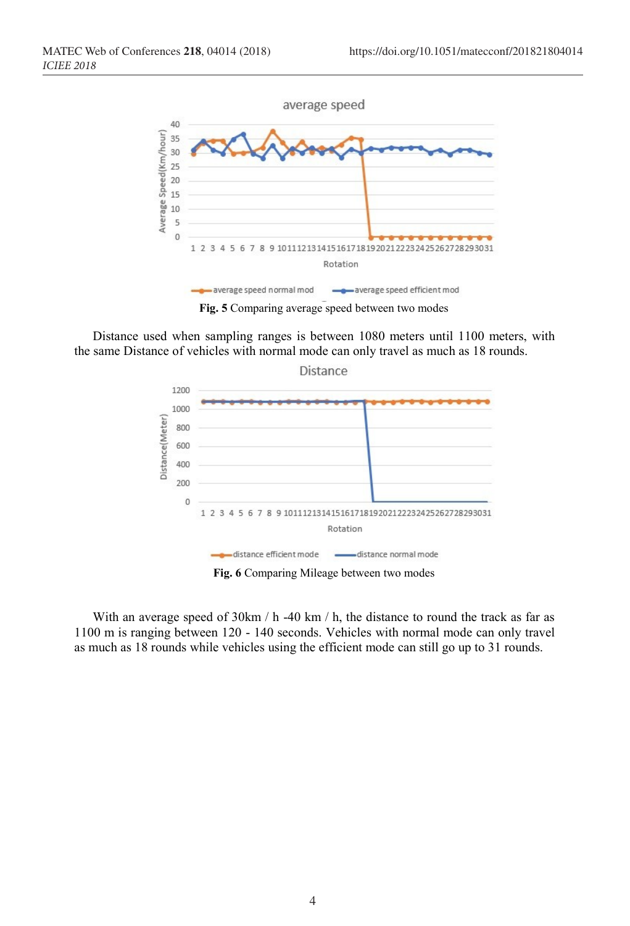

Distance used when sampling ranges is between 1080 meters until 1100 meters, with the same Distance of vehicles with normal mode can only travel as much as 18 rounds.



**Fig. 6** Comparing Mileage between two modes

With an average speed of 30km / h -40 km / h, the distance to round the track as far as 1100 m is ranging between 120 - 140 seconds. Vehicles with normal mode can only travel as much as 18 rounds while vehicles using the efficient mode can still go up to 31 rounds.